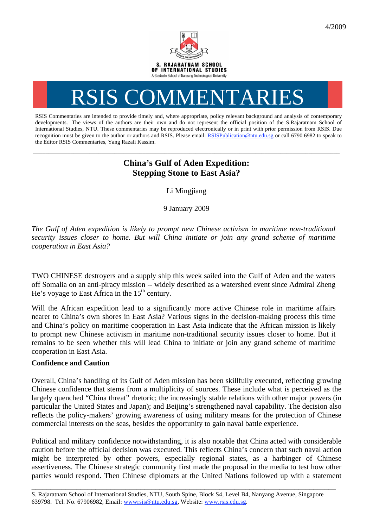

# RSIS COMMENTARIES

RSIS Commentaries are intended to provide timely and, where appropriate, policy relevant background and analysis of contemporary developments. The views of the authors are their own and do not represent the official position of the S.Rajaratnam School of International Studies, NTU. These commentaries may be reproduced electronically or in print with prior permission from RSIS. Due recognition must be given to the author or authors and RSIS. Please email: RSISPublication@ntu.edu.sg or call 6790 6982 to speak to the Editor RSIS Commentaries, Yang Razali Kassim.

# **China's Gulf of Aden Expedition: Stepping Stone to East Asia?**

**\_\_\_\_\_\_\_\_\_\_\_\_\_\_\_\_\_\_\_\_\_\_\_\_\_\_\_\_\_\_\_\_\_\_\_\_\_\_\_\_\_\_\_\_\_\_\_\_\_\_\_\_\_\_\_\_\_\_\_\_\_\_\_\_\_\_\_\_\_\_\_\_\_\_\_\_\_\_\_\_\_\_\_\_\_\_\_\_\_\_\_\_\_\_\_\_\_\_** 

Li Mingjiang

9 January 2009

*The Gulf of Aden expedition is likely to prompt new Chinese activism in maritime non-traditional security issues closer to home. But will China initiate or join any grand scheme of maritime cooperation in East Asia?*

TWO CHINESE destroyers and a supply ship this week sailed into the Gulf of Aden and the waters off Somalia on an anti-piracy mission -- widely described as a watershed event since Admiral Zheng He's voyage to East Africa in the  $15<sup>th</sup>$  century.

Will the African expedition lead to a significantly more active Chinese role in maritime affairs nearer to China's own shores in East Asia? Various signs in the decision-making process this time and China's policy on maritime cooperation in East Asia indicate that the African mission is likely to prompt new Chinese activism in maritime non-traditional security issues closer to home. But it remains to be seen whether this will lead China to initiate or join any grand scheme of maritime cooperation in East Asia.

## **Confidence and Caution**

Overall, China's handling of its Gulf of Aden mission has been skillfully executed, reflecting growing Chinese confidence that stems from a multiplicity of sources. These include what is perceived as the largely quenched "China threat" rhetoric; the increasingly stable relations with other major powers (in particular the United States and Japan); and Beijing's strengthened naval capability. The decision also reflects the policy-makers' growing awareness of using military means for the protection of Chinese commercial interests on the seas, besides the opportunity to gain naval battle experience.

Political and military confidence notwithstanding, it is also notable that China acted with considerable caution before the official decision was executed. This reflects China's concern that such naval action might be interpreted by other powers, especially regional states, as a harbinger of Chinese assertiveness. The Chinese strategic community first made the proposal in the media to test how other parties would respond. Then Chinese diplomats at the United Nations followed up with a statement

\_\_\_\_\_\_\_\_\_\_\_\_\_\_\_\_\_\_\_\_\_\_\_\_\_\_\_\_\_\_\_\_\_\_\_\_\_\_\_\_\_\_\_\_\_\_\_\_\_\_\_\_\_\_\_\_\_\_\_\_\_\_\_\_\_\_\_\_\_\_\_\_\_\_\_\_\_\_\_\_\_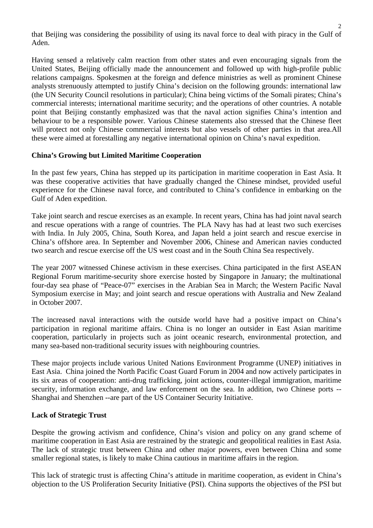2

Having sensed a relatively calm reaction from other states and even encouraging signals from the United States, Beijing officially made the announcement and followed up with high-profile public relations campaigns. Spokesmen at the foreign and defence ministries as well as prominent Chinese analysts strenuously attempted to justify China's decision on the following grounds: international law (the UN Security Council resolutions in particular); China being victims of the Somali pirates; China's commercial interests; international maritime security; and the operations of other countries. A notable point that Beijing constantly emphasized was that the naval action signifies China's intention and behaviour to be a responsible power. Various Chinese statements also stressed that the Chinese fleet will protect not only Chinese commercial interests but also vessels of other parties in that area.All these were aimed at forestalling any negative international opinion on China's naval expedition.

# **China's Growing but Limited Maritime Cooperation**

In the past few years, China has stepped up its participation in maritime cooperation in East Asia. It was these cooperative activities that have gradually changed the Chinese mindset, provided useful experience for the Chinese naval force, and contributed to China's confidence in embarking on the Gulf of Aden expedition.

Take joint search and rescue exercises as an example. In recent years, China has had joint naval search and rescue operations with a range of countries. The PLA Navy has had at least two such exercises with India. In July 2005, China, South Korea, and Japan held a joint search and rescue exercise in China's offshore area. In September and November 2006, Chinese and American navies conducted two search and rescue exercise off the US west coast and in the South China Sea respectively.

The year 2007 witnessed Chinese activism in these exercises. China participated in the first ASEAN Regional Forum maritime-security shore exercise hosted by Singapore in January; the multinational four-day sea phase of "Peace-07" exercises in the Arabian Sea in March; the Western Pacific Naval Symposium exercise in May; and joint search and rescue operations with Australia and New Zealand in October 2007.

The increased naval interactions with the outside world have had a positive impact on China's participation in regional maritime affairs. China is no longer an outsider in East Asian maritime cooperation, particularly in projects such as joint oceanic research, environmental protection, and many sea-based non-traditional security issues with neighbouring countries.

These major projects include various United Nations Environment Programme (UNEP) initiatives in East Asia. China joined the North Pacific Coast Guard Forum in 2004 and now actively participates in its six areas of cooperation: anti-drug trafficking, joint actions, counter-illegal immigration, maritime security, information exchange, and law enforcement on the sea. In addition, two Chinese ports -- Shanghai and Shenzhen --are part of the US Container Security Initiative.

## **Lack of Strategic Trust**

Despite the growing activism and confidence, China's vision and policy on any grand scheme of maritime cooperation in East Asia are restrained by the strategic and geopolitical realities in East Asia. The lack of strategic trust between China and other major powers, even between China and some smaller regional states, is likely to make China cautious in maritime affairs in the region.

This lack of strategic trust is affecting China's attitude in maritime cooperation, as evident in China's objection to the US Proliferation Security Initiative (PSI). China supports the objectives of the PSI but